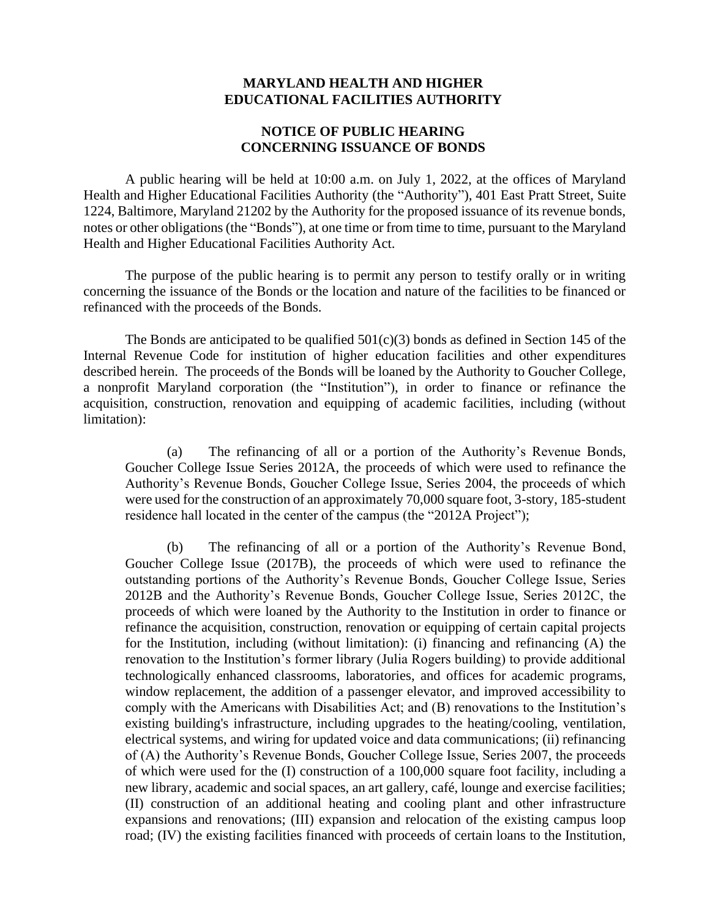## **MARYLAND HEALTH AND HIGHER EDUCATIONAL FACILITIES AUTHORITY**

## **NOTICE OF PUBLIC HEARING CONCERNING ISSUANCE OF BONDS**

A public hearing will be held at 10:00 a.m. on July 1, 2022, at the offices of Maryland Health and Higher Educational Facilities Authority (the "Authority"), 401 East Pratt Street, Suite 1224, Baltimore, Maryland 21202 by the Authority for the proposed issuance of its revenue bonds, notes or other obligations (the "Bonds"), at one time or from time to time, pursuant to the Maryland Health and Higher Educational Facilities Authority Act.

The purpose of the public hearing is to permit any person to testify orally or in writing concerning the issuance of the Bonds or the location and nature of the facilities to be financed or refinanced with the proceeds of the Bonds.

The Bonds are anticipated to be qualified  $501(c)(3)$  bonds as defined in Section 145 of the Internal Revenue Code for institution of higher education facilities and other expenditures described herein. The proceeds of the Bonds will be loaned by the Authority to Goucher College, a nonprofit Maryland corporation (the "Institution"), in order to finance or refinance the acquisition, construction, renovation and equipping of academic facilities, including (without limitation):

(a) The refinancing of all or a portion of the Authority's Revenue Bonds, Goucher College Issue Series 2012A, the proceeds of which were used to refinance the Authority's Revenue Bonds, Goucher College Issue, Series 2004, the proceeds of which were used for the construction of an approximately 70,000 square foot, 3-story, 185-student residence hall located in the center of the campus (the "2012A Project");

(b) The refinancing of all or a portion of the Authority's Revenue Bond, Goucher College Issue (2017B), the proceeds of which were used to refinance the outstanding portions of the Authority's Revenue Bonds, Goucher College Issue, Series 2012B and the Authority's Revenue Bonds, Goucher College Issue, Series 2012C, the proceeds of which were loaned by the Authority to the Institution in order to finance or refinance the acquisition, construction, renovation or equipping of certain capital projects for the Institution, including (without limitation): (i) financing and refinancing (A) the renovation to the Institution's former library (Julia Rogers building) to provide additional technologically enhanced classrooms, laboratories, and offices for academic programs, window replacement, the addition of a passenger elevator, and improved accessibility to comply with the Americans with Disabilities Act; and (B) renovations to the Institution's existing building's infrastructure, including upgrades to the heating/cooling, ventilation, electrical systems, and wiring for updated voice and data communications; (ii) refinancing of (A) the Authority's Revenue Bonds, Goucher College Issue, Series 2007, the proceeds of which were used for the (I) construction of a 100,000 square foot facility, including a new library, academic and social spaces, an art gallery, café, lounge and exercise facilities; (II) construction of an additional heating and cooling plant and other infrastructure expansions and renovations; (III) expansion and relocation of the existing campus loop road; (IV) the existing facilities financed with proceeds of certain loans to the Institution,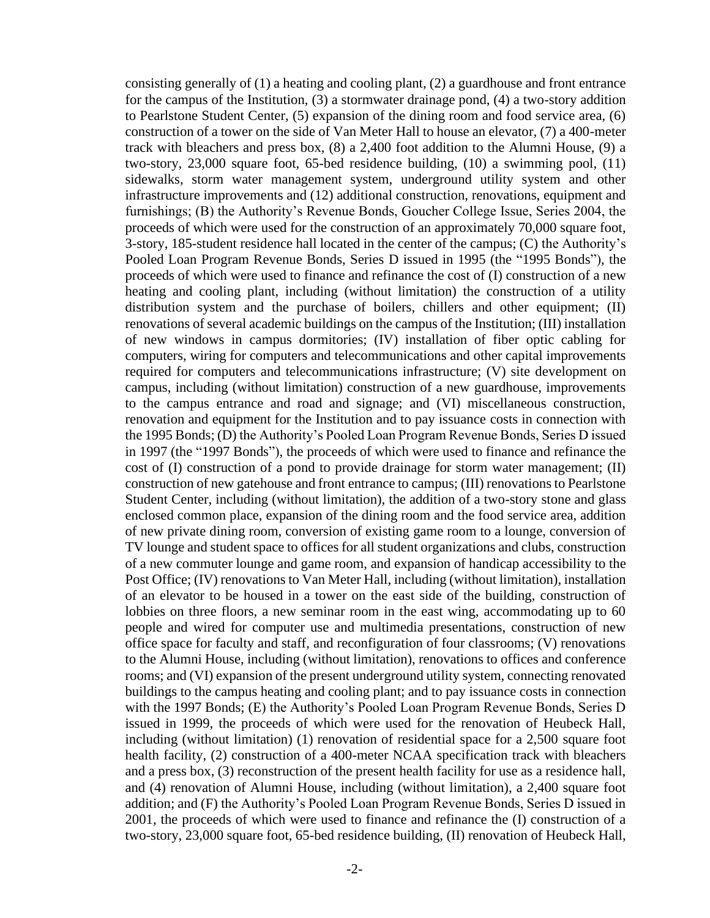consisting generally of  $(1)$  a heating and cooling plant,  $(2)$  a guardhouse and front entrance for the campus of the Institution, (3) a stormwater drainage pond, (4) a two-story addition to Pearlstone Student Center, (5) expansion of the dining room and food service area, (6) construction of a tower on the side of Van Meter Hall to house an elevator, (7) a 400-meter track with bleachers and press box, (8) a 2,400 foot addition to the Alumni House, (9) a two-story, 23,000 square foot, 65-bed residence building, (10) a swimming pool, (11) sidewalks, storm water management system, underground utility system and other infrastructure improvements and (12) additional construction, renovations, equipment and furnishings; (B) the Authority's Revenue Bonds, Goucher College Issue, Series 2004, the proceeds of which were used for the construction of an approximately 70,000 square foot, 3-story, 185-student residence hall located in the center of the campus; (C) the Authority's Pooled Loan Program Revenue Bonds, Series D issued in 1995 (the "1995 Bonds"), the proceeds of which were used to finance and refinance the cost of (I) construction of a new heating and cooling plant, including (without limitation) the construction of a utility distribution system and the purchase of boilers, chillers and other equipment; (II) renovations of several academic buildings on the campus of the Institution; (III) installation of new windows in campus dormitories; (IV) installation of fiber optic cabling for computers, wiring for computers and telecommunications and other capital improvements required for computers and telecommunications infrastructure; (V) site development on campus, including (without limitation) construction of a new guardhouse, improvements to the campus entrance and road and signage; and (VI) miscellaneous construction, renovation and equipment for the Institution and to pay issuance costs in connection with the 1995 Bonds; (D) the Authority's Pooled Loan Program Revenue Bonds, Series D issued in 1997 (the "1997 Bonds"), the proceeds of which were used to finance and refinance the cost of (I) construction of a pond to provide drainage for storm water management; (II) construction of new gatehouse and front entrance to campus; (III) renovations to Pearlstone Student Center, including (without limitation), the addition of a two-story stone and glass enclosed common place, expansion of the dining room and the food service area, addition of new private dining room, conversion of existing game room to a lounge, conversion of TV lounge and student space to offices for all student organizations and clubs, construction of a new commuter lounge and game room, and expansion of handicap accessibility to the Post Office; (IV) renovations to Van Meter Hall, including (without limitation), installation of an elevator to be housed in a tower on the east side of the building, construction of lobbies on three floors, a new seminar room in the east wing, accommodating up to 60 people and wired for computer use and multimedia presentations, construction of new office space for faculty and staff, and reconfiguration of four classrooms; (V) renovations to the Alumni House, including (without limitation), renovations to offices and conference rooms; and (VI) expansion of the present underground utility system, connecting renovated buildings to the campus heating and cooling plant; and to pay issuance costs in connection with the 1997 Bonds; (E) the Authority's Pooled Loan Program Revenue Bonds, Series D issued in 1999, the proceeds of which were used for the renovation of Heubeck Hall, including (without limitation) (1) renovation of residential space for a 2,500 square foot health facility, (2) construction of a 400-meter NCAA specification track with bleachers and a press box, (3) reconstruction of the present health facility for use as a residence hall, and (4) renovation of Alumni House, including (without limitation), a 2,400 square foot addition; and (F) the Authority's Pooled Loan Program Revenue Bonds, Series D issued in 2001, the proceeds of which were used to finance and refinance the (I) construction of a two-story, 23,000 square foot, 65-bed residence building, (II) renovation of Heubeck Hall,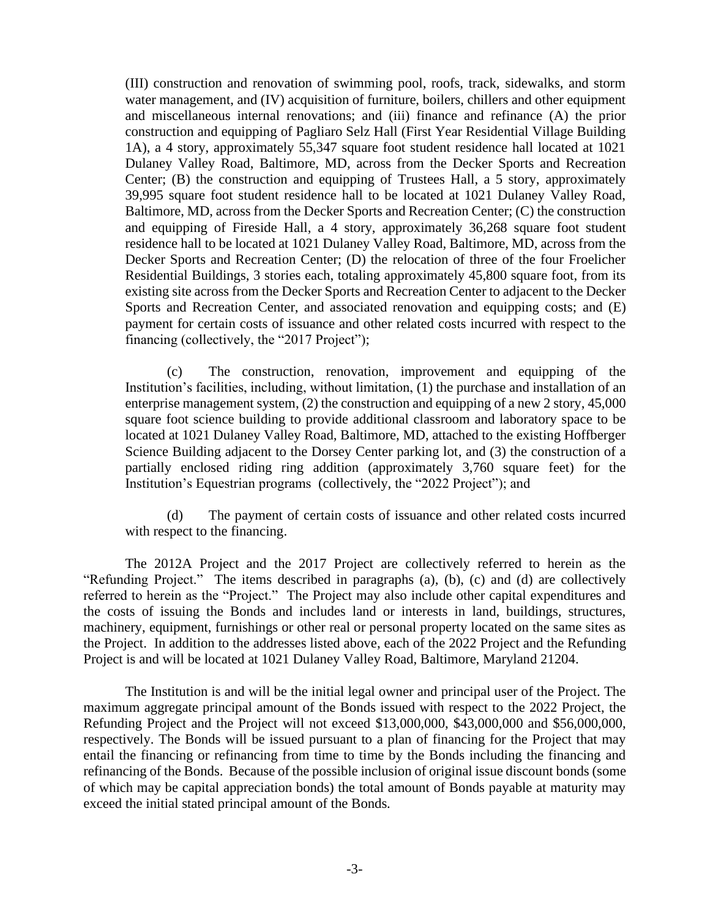(III) construction and renovation of swimming pool, roofs, track, sidewalks, and storm water management, and (IV) acquisition of furniture, boilers, chillers and other equipment and miscellaneous internal renovations; and (iii) finance and refinance (A) the prior construction and equipping of Pagliaro Selz Hall (First Year Residential Village Building 1A), a 4 story, approximately 55,347 square foot student residence hall located at 1021 Dulaney Valley Road, Baltimore, MD, across from the Decker Sports and Recreation Center; (B) the construction and equipping of Trustees Hall, a 5 story, approximately 39,995 square foot student residence hall to be located at 1021 Dulaney Valley Road, Baltimore, MD, across from the Decker Sports and Recreation Center; (C) the construction and equipping of Fireside Hall, a 4 story, approximately 36,268 square foot student residence hall to be located at 1021 Dulaney Valley Road, Baltimore, MD, across from the Decker Sports and Recreation Center; (D) the relocation of three of the four Froelicher Residential Buildings, 3 stories each, totaling approximately 45,800 square foot, from its existing site across from the Decker Sports and Recreation Center to adjacent to the Decker Sports and Recreation Center, and associated renovation and equipping costs; and (E) payment for certain costs of issuance and other related costs incurred with respect to the financing (collectively, the "2017 Project");

(c) The construction, renovation, improvement and equipping of the Institution's facilities, including, without limitation, (1) the purchase and installation of an enterprise management system, (2) the construction and equipping of a new 2 story, 45,000 square foot science building to provide additional classroom and laboratory space to be located at 1021 Dulaney Valley Road, Baltimore, MD, attached to the existing Hoffberger Science Building adjacent to the Dorsey Center parking lot, and (3) the construction of a partially enclosed riding ring addition (approximately 3,760 square feet) for the Institution's Equestrian programs (collectively, the "2022 Project"); and

(d) The payment of certain costs of issuance and other related costs incurred with respect to the financing.

The 2012A Project and the 2017 Project are collectively referred to herein as the "Refunding Project." The items described in paragraphs (a), (b), (c) and (d) are collectively referred to herein as the "Project." The Project may also include other capital expenditures and the costs of issuing the Bonds and includes land or interests in land, buildings, structures, machinery, equipment, furnishings or other real or personal property located on the same sites as the Project. In addition to the addresses listed above, each of the 2022 Project and the Refunding Project is and will be located at 1021 Dulaney Valley Road, Baltimore, Maryland 21204.

The Institution is and will be the initial legal owner and principal user of the Project. The maximum aggregate principal amount of the Bonds issued with respect to the 2022 Project, the Refunding Project and the Project will not exceed \$13,000,000, \$43,000,000 and \$56,000,000, respectively. The Bonds will be issued pursuant to a plan of financing for the Project that may entail the financing or refinancing from time to time by the Bonds including the financing and refinancing of the Bonds. Because of the possible inclusion of original issue discount bonds (some of which may be capital appreciation bonds) the total amount of Bonds payable at maturity may exceed the initial stated principal amount of the Bonds*.*